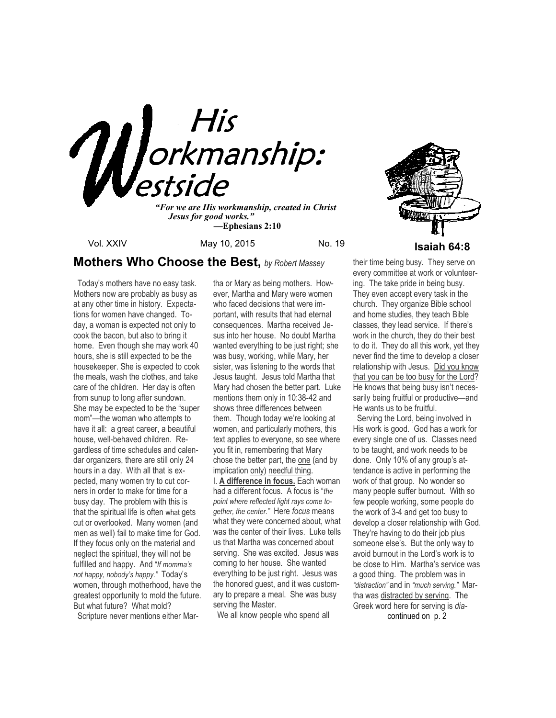

*"For we are His workmanship, created in Christ Jesus for good works." —***Ephesians 2:10**

Vol. XXIV May 10, 2015 No. 19 No. 19

# **Mothers Who Choose the Best,** *by Robert Massey*

 Today's mothers have no easy task. Mothers now are probably as busy as at any other time in history. Expectations for women have changed. Today, a woman is expected not only to cook the bacon, but also to bring it home. Even though she may work 40 hours, she is still expected to be the housekeeper. She is expected to cook the meals, wash the clothes, and take care of the children. Her day is often from sunup to long after sundown. She may be expected to be the "super mom"—the woman who attempts to have it all: a great career, a beautiful house, well-behaved children. Regardless of time schedules and calendar organizers, there are still only 24 hours in a day. With all that is expected, many women try to cut corners in order to make for time for a busy day. The problem with this is that the spiritual life is often what gets cut or overlooked. Many women (and men as well) fail to make time for God. If they focus only on the material and neglect the spiritual, they will not be fulfilled and happy. And "*If momma's not happy, nobody's happy."* Today's women, through motherhood, have the greatest opportunity to mold the future. But what future? What mold?

Scripture never mentions either Mar-

tha or Mary as being mothers. However, Martha and Mary were women who faced decisions that were important, with results that had eternal consequences. Martha received Jesus into her house. No doubt Martha wanted everything to be just right; she was busy, working, while Mary, her sister, was listening to the words that Jesus taught. Jesus told Martha that Mary had chosen the better part. Luke mentions them only in 10:38-42 and shows three differences between them. Though today we're looking at women, and particularly mothers, this text applies to everyone, so see where you fit in, remembering that Mary chose the better part, the one (and by implication only) needful thing. I. **A difference in focus.** Each woman had a different focus. A focus is "*the point where reflected light rays come together, the center."* Here *focus* means what they were concerned about, what was the center of their lives. Luke tells us that Martha was concerned about serving. She was excited. Jesus was coming to her house. She wanted everything to be just right. Jesus was the honored guest, and it was customary to prepare a meal. She was busy serving the Master.

We all know people who spend all

their time being busy. They serve on every committee at work or volunteering. The take pride in being busy. They even accept every task in the church. They organize Bible school and home studies, they teach Bible classes, they lead service. If there's work in the church, they do their best to do it. They do all this work, yet they never find the time to develop a closer relationship with Jesus. Did you know that you can be too busy for the Lord? He knows that being busy isn't necessarily being fruitful or productive—and He wants us to be fruitful.

 Serving the Lord, being involved in His work is good. God has a work for every single one of us. Classes need to be taught, and work needs to be done. Only 10% of any group's attendance is active in performing the work of that group. No wonder so many people suffer burnout. With so few people working, some people do the work of 3-4 and get too busy to develop a closer relationship with God. They're having to do their job plus someone else's. But the only way to avoid burnout in the Lord's work is to be close to Him. Martha's service was a good thing. The problem was in *"distraction"* and in *"much serving."* Martha was distracted by serving. The Greek word here for serving is *dia*continued on p. 2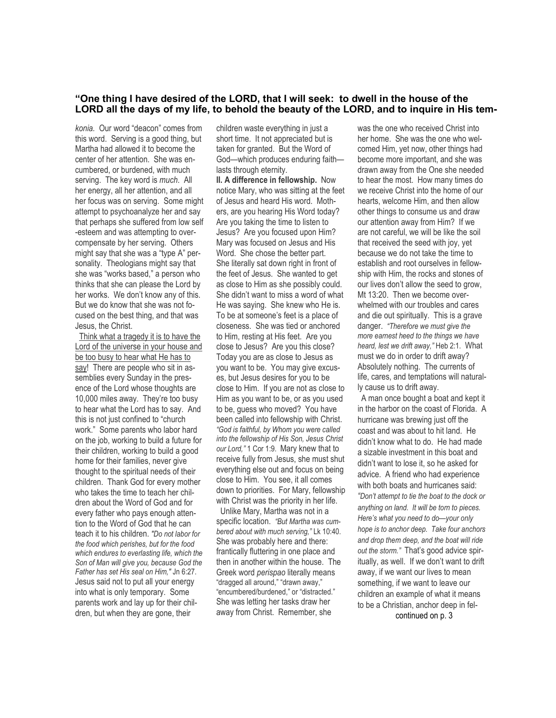## **"One thing I have desired of the LORD, that I will seek: to dwell in the house of the LORD all the days of my life, to behold the beauty of the LORD, and to inquire in His tem-**

*konia.* Our word "deacon" comes from this word. Serving is a good thing, but Martha had allowed it to become the center of her attention. She was encumbered, or burdened, with much serving. The key word is *much*. All her energy, all her attention, and all her focus was on serving. Some might attempt to psychoanalyze her and say that perhaps she suffered from low self -esteem and was attempting to overcompensate by her serving. Others might say that she was a "type A" personality. Theologians might say that she was "works based," a person who thinks that she can please the Lord by her works. We don't know any of this. But we do know that she was not focused on the best thing, and that was Jesus, the Christ.

 Think what a tragedy it is to have the Lord of the universe in your house and be too busy to hear what He has to say! There are people who sit in assemblies every Sunday in the presence of the Lord whose thoughts are 10,000 miles away. They're too busy to hear what the Lord has to say. And this is not just confined to "church work." Some parents who labor hard on the job, working to build a future for their children, working to build a good home for their families, never give thought to the spiritual needs of their children. Thank God for every mother who takes the time to teach her children about the Word of God and for every father who pays enough attention to the Word of God that he can teach it to his children. *"Do not labor for the food which perishes, but for the food which endures to everlasting life, which the Son of Man will give you, because God the Father has set His seal on Him,"* Jn 6:27. Jesus said not to put all your energy into what is only temporary. Some parents work and lay up for their children, but when they are gone, their

children waste everything in just a short time. It not appreciated but is taken for granted. But the Word of God—which produces enduring faith lasts through eternity.

**II. A difference in fellowship.** Now notice Mary, who was sitting at the feet of Jesus and heard His word. Mothers, are you hearing His Word today? Are you taking the time to listen to Jesus? Are you focused upon Him? Mary was focused on Jesus and His Word. She chose the better part. She literally sat down right in front of the feet of Jesus. She wanted to get as close to Him as she possibly could. She didn't want to miss a word of what He was saying. She knew who He is. To be at someone's feet is a place of closeness. She was tied or anchored to Him, resting at His feet. Are you close to Jesus? Are you this close? Today you are as close to Jesus as you want to be. You may give excuses, but Jesus desires for you to be close to Him. If you are not as close to Him as you want to be, or as you used to be, guess who moved? You have been called into fellowship with Christ. *"God is faithful, by Whom you were called into the fellowship of His Son, Jesus Christ our Lord,"* 1 Cor 1:9. Mary knew that to receive fully from Jesus, she must shut everything else out and focus on being close to Him. You see, it all comes down to priorities. For Mary, fellowship with Christ was the priority in her life.

 Unlike Mary, Martha was not in a specific location. *"But Martha was cumbered about with much serving,"* Lk 10:40. She was probably here and there: frantically fluttering in one place and then in another within the house. The Greek word *perispao* literally means "dragged all around," "drawn away," "encumbered/burdened," or "distracted." She was letting her tasks draw her away from Christ. Remember, she

was the one who received Christ into her home. She was the one who welcomed Him, yet now, other things had become more important, and she was drawn away from the One she needed to hear the most. How many times do we receive Christ into the home of our hearts, welcome Him, and then allow other things to consume us and draw our attention away from Him? If we are not careful, we will be like the soil that received the seed with joy, yet because we do not take the time to establish and root ourselves in fellowship with Him, the rocks and stones of our lives don't allow the seed to grow, Mt 13:20. Then we become overwhelmed with our troubles and cares and die out spiritually. This is a grave danger. *"Therefore we must give the more earnest heed to the things we have heard, lest we drift away,"* Heb 2:1. What must we do in order to drift away? Absolutely nothing. The currents of life, cares, and temptations will naturally cause us to drift away.

A man once bought a boat and kept it in the harbor on the coast of Florida. A hurricane was brewing just off the coast and was about to hit land. He didn't know what to do. He had made a sizable investment in this boat and didn't want to lose it, so he asked for advice. A friend who had experience with both boats and hurricanes said: *"Don't attempt to tie the boat to the dock or anything on land. It will be torn to pieces. Here's what you need to do—your only hope is to anchor deep. Take four anchors and drop them deep, and the boat will ride out the storm."* That's good advice spiritually, as well. If we don't want to drift away, if we want our lives to mean something, if we want to leave our children an example of what it means to be a Christian, anchor deep in fel-

continued on p. 3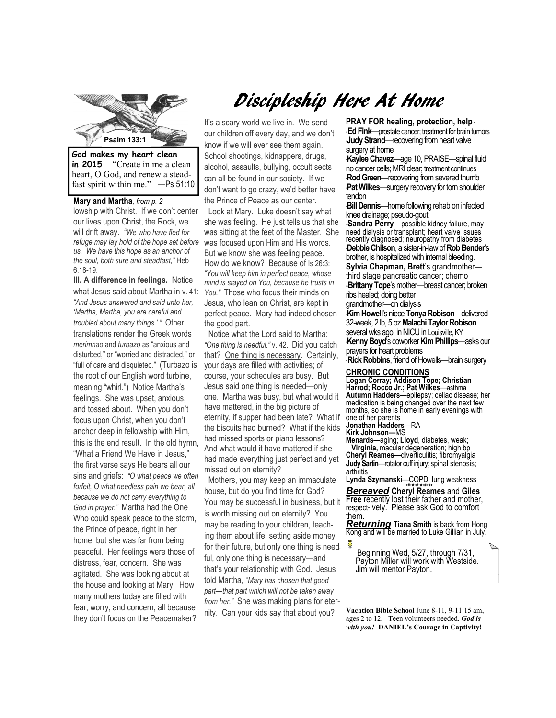

**in 2015** "Create in me a clean heart, O God, and renew a steadfast spirit within me." —Ps 51:10

**Mary and Martha***, from p. 2*  lowship with Christ. If we don't center our lives upon Christ, the Rock, we will drift away. *"We who have fled for us. We have this hope as an anchor of the soul, both sure and steadfast,"* Heb 6:18-19.

**III. A difference in feelings.** Notice what Jesus said about Martha in v. 41: *"And Jesus answered and said unto her, 'Martha, Martha, you are careful and troubled about many things.' "* Other translations render the Greek words *merimnao* and *turbazo* as "anxious and disturbed," or "worried and distracted," or "full of care and disquieted." (Turbazo is the root of our English word turbine, meaning "whirl.") Notice Martha's feelings. She was upset, anxious, and tossed about. When you don't focus upon Christ, when you don't anchor deep in fellowship with Him, this is the end result. In the old hymn, "What a Friend We Have in Jesus," the first verse says He bears all our sins and griefs: *"O what peace we often forfeit, O what needless pain we bear, all because we do not carry everything to God in prayer."* Martha had the One Who could speak peace to the storm, the Prince of peace, right in her home, but she was far from being peaceful. Her feelings were those of distress, fear, concern. She was agitated. She was looking about at the house and looking at Mary. How many mothers today are filled with fear, worry, and concern, all because they don't focus on the Peacemaker?

# Discipleship Here At Home

It's a scary world we live in. We send our children off every day, and we don't know if we will ever see them again. School shootings, kidnappers, drugs, alcohol, assaults, bullying, occult sects can all be found in our society. If we don't want to go crazy, we'd better have the Prince of Peace as our center.

*refuge may lay hold of the hope set before*  was focused upon Him and His words. Look at Mary. Luke doesn't say what she was feeling. He just tells us that she was sitting at the feet of the Master. She But we know she was feeling peace. How do we know? Because of Is 26:3: *"You will keep him in perfect peace, whose mind is stayed on You, because he trusts in You."* Those who focus their minds on Jesus, who lean on Christ, are kept in perfect peace. Mary had indeed chosen the good part.

> Notice what the Lord said to Martha: *"One thing is needful,"* v. 42. Did you catch that? One thing is necessary. Certainly, your days are filled with activities; of course, your schedules are busy. But Jesus said one thing is needed—only one. Martha was busy, but what would it have mattered, in the big picture of eternity, if supper had been late? What if the biscuits had burned? What if the kids had missed sports or piano lessons? And what would it have mattered if she had made everything just perfect and yet missed out on eternity?

> Mothers, you may keep an immaculate house, but do you find time for God? You may be successful in business, but it is worth missing out on eternity? You may be reading to your children, teaching them about life, setting aside money for their future, but only one thing is needful, only one thing is necessary—and that's your relationship with God. Jesus told Martha, "*Mary has chosen that good part—that part which will not be taken away from her."* She was making plans for eternity. Can your kids say that about you?

#### **PRAY FOR healing, protection, help** \*

\* **Ed Fink**—prostate cancer; treatment for brain tumors **Judy Strand—recovering from heart valve** surgery at home

\***Kaylee Chavez**—age 10, PRAISE—spinal fluid no cancer cells; MRI clear; treatment continues **Rod Green**—recovering from severed thumb **Pat Wilkes**—surgery recovery for torn shoulder tendon

tenaon<br>·**Bill Dennis**—home following rehab on infected knee drainage; pseudo-gout

\* **Sandra Perry**—possible kidney failure, may need dialysis or transplant; heart valve issues recently diagnosed; neuropathy from diabetes \***Debbie Chilson**, a sister-in-law of **Rob Bender**'s brother, is hospitalized with internal bleeding. **Sylvia Chapman, Brett**'s grandmother third stage pancreatic cancer; chemo -**Brittany Tope**'s mother—breast cancer; broken ribs healed; doing better

grandmother—on dialysis

\***Kim Howell**'s niece **Tonya Robison**—delivered 32-week, 2 lb, 5 oz **Malachi Taylor Robison**  several wks ago; in NICU in Louisville, KY \***Kenny Boyd**'s coworker **Kim Phillips**—asks our prayers for heart problems

\* **Rick Robbins**, friend of Howells—brain surgery

#### **CHRONIC CONDITIONS**

**Logan Corray; Addison Tope; Christian Harrod; Rocco Jr.; Pat Wilkes**—asthma **Autumn Hadders—**epilepsy; celiac disease; her medication is being changed over the next few months, so she is home in early evenings with one of her parents

**Jonathan Hadders**—RA

**Kirk Johnson—**MS **Menards—**aging; **Lloyd**, diabetes, weak; **Virginia,** macular degeneration; high bp **Cheryl Reames**—diverticulitis; fibromyalgia **Judy Sartin**—rotator cuff injury; spinal stenosis; arthritis

**Lynda Szymanski**—COPD, lung weakness

*+#+#+#+#+#+#+ Bereaved* **Cheryl Reames** and **Giles Free** recently lost their father and mother, respect-ively. Please ask God to comfort them.

*Returning* **Tiana Smith** is back from Hong Kong and will be married to Luke Gillian in July.

Beginning Wed, 5/27, through 7/31, Payton Miller will work with Westside. Jim will mentor Payton.

**Vacation Bible School** June 8-11, 9-11:15 am, ages 2 to 12. Teen volunteers needed. *God is with you!* **DANIEL's Courage in Captivity!**